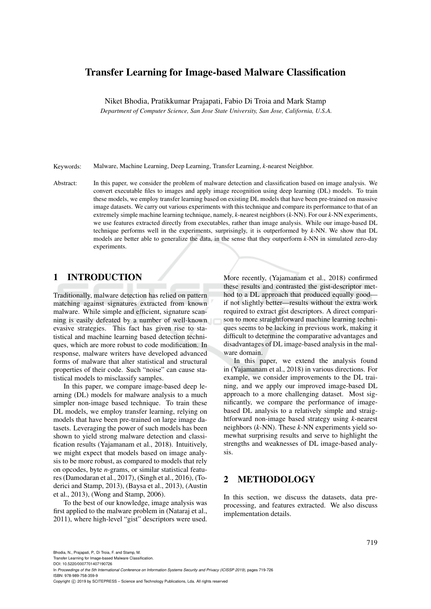# Transfer Learning for Image-based Malware Classification

Niket Bhodia, Pratikkumar Prajapati, Fabio Di Troia and Mark Stamp

*Department of Computer Science, San Jose State University, San Jose, California, U.S.A.*

Keywords: Malware, Machine Learning, Deep Learning, Transfer Learning, *k*-nearest Neighbor.

Abstract: In this paper, we consider the problem of malware detection and classification based on image analysis. We convert executable files to images and apply image recognition using deep learning (DL) models. To train these models, we employ transfer learning based on existing DL models that have been pre-trained on massive image datasets. We carry out various experiments with this technique and compare its performance to that of an extremely simple machine learning technique, namely, *k*-nearest neighbors (*k*-NN). For our *k*-NN experiments, we use features extracted directly from executables, rather than image analysis. While our image-based DL technique performs well in the experiments, surprisingly, it is outperformed by *k*-NN. We show that DL models are better able to generalize the data, in the sense that they outperform *k*-NN in simulated zero-day experiments.

## 1 INTRODUCTION

Traditionally, malware detection has relied on pattern matching against signatures extracted from known malware. While simple and efficient, signature scanning is easily defeated by a number of well-known evasive strategies. This fact has given rise to statistical and machine learning based detection techniques, which are more robust to code modification. In response, malware writers have developed advanced forms of malware that alter statistical and structural properties of their code. Such "noise" can cause statistical models to misclassify samples.

In this paper, we compare image-based deep learning (DL) models for malware analysis to a much simpler non-image based technique. To train these DL models, we employ transfer learning, relying on models that have been pre-trained on large image datasets. Leveraging the power of such models has been shown to yield strong malware detection and classification results (Yajamanam et al., 2018). Intuitively, we might expect that models based on image analysis to be more robust, as compared to models that rely on opcodes, byte *n*-grams, or similar statistical features (Damodaran et al., 2017), (Singh et al., 2016), (Toderici and Stamp, 2013), (Baysa et al., 2013), (Austin et al., 2013), (Wong and Stamp, 2006).

To the best of our knowledge, image analysis was first applied to the malware problem in (Nataraj et al., 2011), where high-level "gist" descriptors were used.

More recently, (Yajamanam et al., 2018) confirmed these results and contrasted the gist-descriptor method to a DL approach that produced equally good if not slightly better—results without the extra work required to extract gist descriptors. A direct comparison to more straightforward machine learning techniques seems to be lacking in previous work, making it difficult to determine the comparative advantages and disadvantages of DL image-based analysis in the malware domain.

In this paper, we extend the analysis found in (Yajamanam et al., 2018) in various directions. For example, we consider improvements to the DL training, and we apply our improved image-based DL approach to a more challenging dataset. Most significantly, we compare the performance of imagebased DL analysis to a relatively simple and straightforward non-image based strategy using *k*-nearest neighbors (*k*-NN). These *k*-NN experiments yield somewhat surprising results and serve to highlight the strengths and weaknesses of DL image-based analysis.

### 2 METHODOLOGY

In this section, we discuss the datasets, data preprocessing, and features extracted. We also discuss implementation details.

Transfer Learning for Image-based Malware Classification.

DOI: 10.5220/0007701407190726

In *Proceedings of the 5th International Conference on Information Systems Security and Privacy (ICISSP 2019)*, pages 719-726 ISBN: 978-989-758-359-9

Copyright © 2019 by SCITEPRESS - Science and Technology Publications, Lda. All rights reserved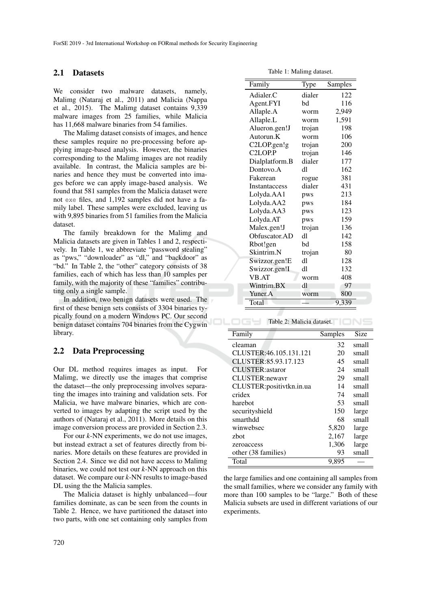#### 2.1 Datasets

We consider two malware datasets, namely, Malimg (Nataraj et al., 2011) and Malicia (Nappa et al., 2015). The Malimg dataset contains 9,339 malware images from 25 families, while Malicia has 11,668 malware binaries from 54 families.

The Malimg dataset consists of images, and hence these samples require no pre-processing before applying image-based analysis. However, the binaries corresponding to the Malimg images are not readily available. In contrast, the Malicia samples are binaries and hence they must be converted into images before we can apply image-based analysis. We found that 581 samples from the Malicia dataset were not exe files, and 1,192 samples did not have a family label. These samples were excluded, leaving us with 9,895 binaries from 51 families from the Malicia dataset.

The family breakdown for the Malimg and Malicia datasets are given in Tables 1 and 2, respectively. In Table 1, we abbreviate "password stealing" as "pws," "downloader" as "dl," and "backdoor" as "bd." In Table 2, the "other" category consists of 38 families, each of which has less than 10 samples per family, with the majority of these "families" contributing only a single sample.

In addition, two benign datasets were used. The first of these benign sets consists of 3304 binaries typically found on a modern Windows PC. Our second benign dataset contains 704 binaries from the Cygwin library.

#### 2.2 Data Preprocessing

Our DL method requires images as input. For Malimg, we directly use the images that comprise the dataset—the only preprocessing involves separating the images into training and validation sets. For Malicia, we have malware binaries, which are converted to images by adapting the script used by the authors of (Nataraj et al., 2011). More details on this image conversion process are provided in Section 2.3.

For our *k*-NN experiments, we do not use images, but instead extract a set of features directly from binaries. More details on these features are provided in Section 2.4. Since we did not have access to Malimg binaries, we could not test our *k*-NN approach on this dataset. We compare our *k*-NN results to image-based DL using the the Malicia samples.

The Malicia dataset is highly unbalanced—four families dominate, as can be seen from the counts in Table 2. Hence, we have partitioned the dataset into two parts, with one set containing only samples from

Table 1: Malimg dataset.

| Family                          | Type   | Samples |
|---------------------------------|--------|---------|
| Adialer.C                       | dialer | 122     |
| Agent.FYI                       | bd     | 116     |
| Allaple.A                       | worm   | 2,949   |
| Allaple.L                       | worm   | 1,591   |
| Alueron.gen!J                   | trojan | 198     |
| Autorun.K                       | worm   | 106     |
| C2LOP.gen!g                     | trojan | 200     |
| C <sub>2</sub> LOP <sub>P</sub> | trojan | 146     |
| Dialplatform.B                  | dialer | 177     |
| Dontovo.A                       | d1     | 162     |
| Fakerean                        | rogue  | 381     |
| <b>Instantaccess</b>            | dialer | 431     |
| Lolyda.AA1                      | pws    | 213     |
| Lolyda.AA2                      | pws    | 184     |
| Lolyda.AA3                      | pws    | 123     |
| Lolyda.AT                       | pws    | 159     |
| Malex.gen!J                     | trojan | 136     |
| Obfuscator.AD                   | d1     | 142     |
| Rbot!gen                        | bd     | 158     |
| Skintrim.N                      | trojan | 80      |
| Swizzor.gen!E                   | d1     | 128     |
| Swizzor.gen!I                   | d1     | 132     |
| <b>VB.AT</b>                    | worm   | 408     |
| Wintrim.BX                      | dl     | 97      |
| Yuner.A                         | worm   | 800     |
| Total                           |        | 9,339   |

Table 2: Malicia dataset.

| Family                   | Samples | Size  |
|--------------------------|---------|-------|
| cleaman                  | 32      | small |
| CLUSTER: 46.105.131.121  | 20      | small |
| CLUSTER:85.93.17.123     | 45      | small |
| <b>CLUSTER:astaror</b>   | 24      | small |
| CLUSTER:newavr           | 29      | small |
| CLUSTER:positivtkn.in.ua | 14      | small |
| cridex                   | 74      | small |
| harebot                  | 53      | small |
| securityshield           | 150     | large |
| smarthdd                 | 68      | small |
| winwebsec                | 5,820   | large |
| zbot                     | 2,167   | large |
| zeroaccess               | 1,306   | large |
| other (38 families)      | 93      | small |
| Total                    | 9.895   |       |

the large families and one containing all samples from the small families, where we consider any family with more than 100 samples to be "large." Both of these Malicia subsets are used in different variations of our experiments.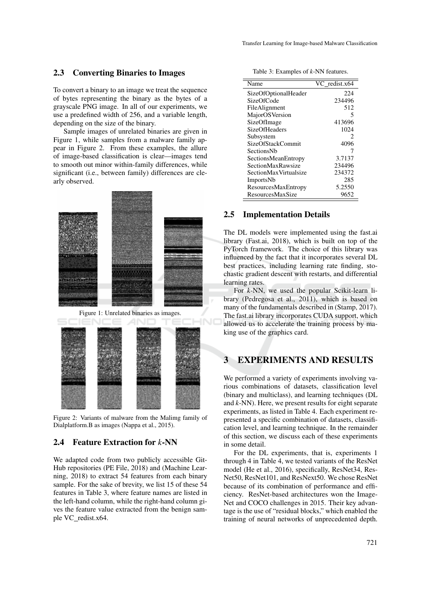#### 2.3 Converting Binaries to Images

To convert a binary to an image we treat the sequence of bytes representing the binary as the bytes of a grayscale PNG image. In all of our experiments, we use a predefined width of 256, and a variable length, depending on the size of the binary.

Sample images of unrelated binaries are given in Figure 1, while samples from a malware family appear in Figure 2. From these examples, the allure of image-based classification is clear—images tend to smooth out minor within-family differences, while significant (i.e., between family) differences are clearly observed.



Figure 1: Unrelated binaries as images.



Figure 2: Variants of malware from the Malimg family of Dialplatform.B as images (Nappa et al., 2015).

### 2.4 Feature Extraction for *k*-NN

We adapted code from two publicly accessible Git-Hub repositories (PE File, 2018) and (Machine Learning, 2018) to extract 54 features from each binary sample. For the sake of brevity, we list 15 of these 54 features in Table 3, where feature names are listed in the left-hand column, while the right-hand column gives the feature value extracted from the benign sample VC redist.x64.

| Name                    | VC redist.x64 |
|-------------------------|---------------|
| SizeOfOptionalHeader    | 224           |
| SizeOfCode              | 234496        |
| FileAlignment           | 512           |
| MajorOSVersion          | 5             |
| SizeOfImage             | 413696        |
| SizeOfHeaders           | 1024          |
| Subsystem               | 2             |
| SizeOfStackCommit       | 4096          |
| SectionsNb              |               |
| SectionsMeanEntropy     | 3.7137        |
| SectionMaxRawsize       | 234496        |
| SectionMaxVirtualsize   | 234372        |
| <b>ImportsNb</b>        | 285           |
| ResourcesMaxEntropy     | 5.2550        |
| <b>ResourcesMaxSize</b> | 9652          |

### Table 3: Examples of *k*-NN features.

#### 2.5 Implementation Details

The DL models were implemented using the fast.ai library (Fast.ai, 2018), which is built on top of the PyTorch framework. The choice of this library was influenced by the fact that it incorporates several DL best practices, including learning rate finding, stochastic gradient descent with restarts, and differential learning rates.

For *k*-NN, we used the popular Scikit-learn library (Pedregosa et al., 2011), which is based on many of the fundamentals described in (Stamp, 2017). The fast.ai library incorporates CUDA support, which allowed us to accelerate the training process by making use of the graphics card.

## 3 EXPERIMENTS AND RESULTS

We performed a variety of experiments involving various combinations of datasets, classification level (binary and multiclass), and learning techniques (DL and *k*-NN). Here, we present results for eight separate experiments, as listed in Table 4. Each experiment represented a specific combination of datasets, classification level, and learning technique. In the remainder of this section, we discuss each of these experiments in some detail.

For the DL experiments, that is, experiments 1 through 4 in Table 4, we tested variants of the ResNet model (He et al., 2016), specifically, ResNet34, Res-Net50, ResNet101, and ResNext50. We chose ResNet because of its combination of performance and efficiency. ResNet-based architectures won the Image-Net and COCO challenges in 2015. Their key advantage is the use of "residual blocks," which enabled the training of neural networks of unprecedented depth.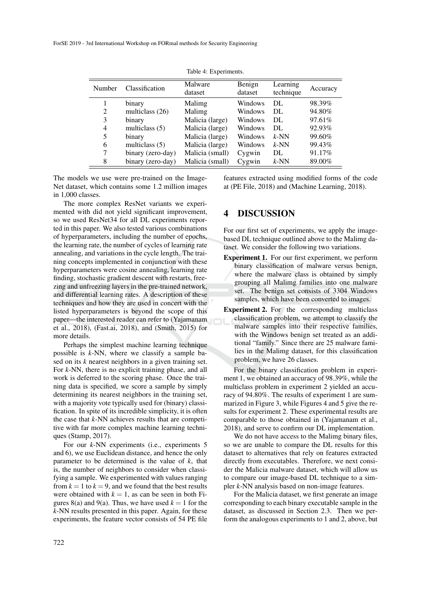| ruore <i>n. Enpermiento.</i> |                   |                    |                   |                       |          |  |  |
|------------------------------|-------------------|--------------------|-------------------|-----------------------|----------|--|--|
| Number                       | Classification    | Malware<br>dataset | Benign<br>dataset | Learning<br>technique | Accuracy |  |  |
|                              | binary            | Malimg             | Windows           | DL                    | 98.39%   |  |  |
| 2                            | multiclass (26)   | Malimg             | Windows           | DL                    | 94.80%   |  |  |
| 3                            | binary            | Malicia (large)    | Windows           | DL                    | 97.61%   |  |  |
| 4                            | multiclass $(5)$  | Malicia (large)    | Windows           | DL                    | 92.93%   |  |  |
| 5                            | binary            | Malicia (large)    | Windows           | $k$ -NN               | 99.60%   |  |  |
| 6                            | multiclass $(5)$  | Malicia (large)    | Windows           | $k$ -NN               | 99.43%   |  |  |
| 7                            | binary (zero-day) | Malicia (small)    | Cygwin            | DL                    | 91.17%   |  |  |
| 8                            | binary (zero-day) | Malicia (small)    | Cygwin            | $k$ -NN               | 89.00%   |  |  |

Table 4: Experiments

The models we use were pre-trained on the Image-Net dataset, which contains some 1.2 million images in 1,000 classes.

The more complex ResNet variants we experimented with did not yield significant improvement, so we used ResNet34 for all DL experiments reported in this paper. We also tested various combinations of hyperparameters, including the number of epochs, the learning rate, the number of cycles of learning rate annealing, and variations in the cycle length. The training concepts implemented in conjunction with these hyperparameters were cosine annealing, learning rate finding, stochastic gradient descent with restarts, freezing and unfreezing layers in the pre-trained network, and differential learning rates. A description of these techniques and how they are used in concert with the listed hyperparameters is beyond the scope of this paper—the interested reader can refer to (Yajamanam et al., 2018), (Fast.ai, 2018), and (Smith, 2015) for more details.

Perhaps the simplest machine learning technique possible is *k*-NN, where we classify a sample based on its *k* nearest neighbors in a given training set. For *k*-NN, there is no explicit training phase, and all work is deferred to the scoring phase. Once the training data is specified, we score a sample by simply determining its nearest neighbors in the training set, with a majority vote typically used for (binary) classification. In spite of its incredible simplicity, it is often the case that *k*-NN achieves results that are competitive with far more complex machine learning techniques (Stamp, 2017).

For our *k*-NN experiments (i.e., experiments 5 and 6), we use Euclidean distance, and hence the only parameter to be determined is the value of *k*, that is, the number of neighbors to consider when classifying a sample. We experimented with values ranging from  $k = 1$  to  $k = 9$ , and we found that the best results were obtained with  $k = 1$ , as can be seen in both Figures 8(a) and 9(a). Thus, we have used  $k = 1$  for the *k*-NN results presented in this paper. Again, for these experiments, the feature vector consists of 54 PE file

features extracted using modified forms of the code at (PE File, 2018) and (Machine Learning, 2018).

### 4 DISCUSSION

For our first set of experiments, we apply the imagebased DL technique outlined above to the Malimg dataset. We consider the following two variations.

- Experiment 1. For our first experiment, we perform binary classification of malware versus benign, where the malware class is obtained by simply grouping all Malimg families into one malware set. The benign set consists of 3304 Windows samples, which have been converted to images.
- Experiment 2. For the corresponding multiclass classification problem, we attempt to classify the malware samples into their respective families, with the Windows benign set treated as an additional "family." Since there are 25 malware families in the Malimg dataset, for this classification problem, we have 26 classes.

For the binary classification problem in experiment 1, we obtained an accuracy of 98.39%, while the multiclass problem in experiment 2 yielded an accuracy of 94.80%. The results of experiment 1 are summarized in Figure 3, while Figures 4 and 5 give the results for experiment 2. These experimental results are comparable to those obtained in (Yajamanam et al., 2018), and serve to confirm our DL implementation.

We do not have access to the Malimg binary files, so we are unable to compare the DL results for this dataset to alternatives that rely on features extracted directly from executables. Therefore, we next consider the Malicia malware dataset, which will allow us to compare our image-based DL technique to a simpler *k*-NN analysis based on non-image features.

For the Malicia dataset, we first generate an image corresponding to each binary executable sample in the dataset, as discussed in Section 2.3. Then we perform the analogous experiments to 1 and 2, above, but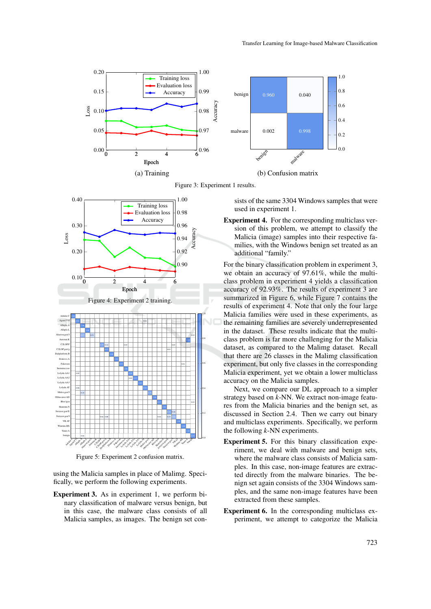

Figure 3: Experiment 1 results.



Figure 5: Experiment 2 confusion matrix.

using the Malicia samples in place of Malimg. Specifically, we perform the following experiments.

Experiment 3. As in experiment 1, we perform binary classification of malware versus benign, but in this case, the malware class consists of all Malicia samples, as images. The benign set consists of the same 3304 Windows samples that were used in experiment 1.

Experiment 4. For the corresponding multiclass version of this problem, we attempt to classify the Malicia (image) samples into their respective families, with the Windows benign set treated as an additional "family."

For the binary classification problem in experiment 3, we obtain an accuracy of 97.61%, while the multiclass problem in experiment 4 yields a classification accuracy of 92.93%. The results of experiment 3 are summarized in Figure 6, while Figure 7 contains the results of experiment 4. Note that only the four large Malicia families were used in these experiments, as the remaining families are severely underrepresented in the dataset. These results indicate that the multiclass problem is far more challenging for the Malicia dataset, as compared to the Malimg dataset. Recall that there are 26 classes in the Malimg classification experiment, but only five classes in the corresponding Malicia experiment, yet we obtain a lower multiclass accuracy on the Malicia samples.

Next, we compare our DL approach to a simpler strategy based on *k*-NN. We extract non-image features from the Malicia binaries and the benign set, as discussed in Section 2.4. Then we carry out binary and multiclass experiments. Specifically, we perform the following *k*-NN experiments.

- Experiment 5. For this binary classification experiment, we deal with malware and benign sets, where the malware class consists of Malicia samples. In this case, non-image features are extracted directly from the malware binaries. The benign set again consists of the 3304 Windows samples, and the same non-image features have been extracted from these samples.
- Experiment 6. In the corresponding multiclass experiment, we attempt to categorize the Malicia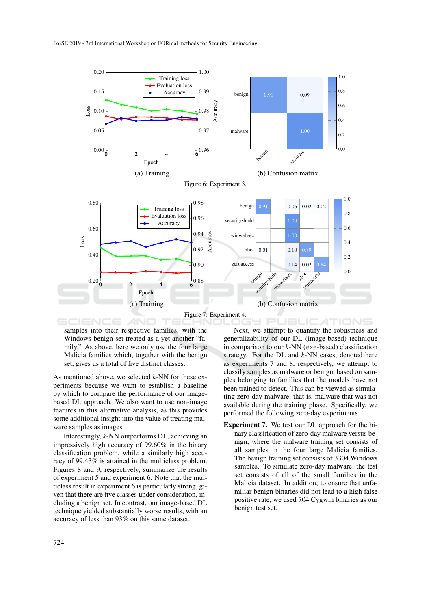

samples into their respective families, with the Windows benign set treated as a yet another "family." As above, here we only use the four large Malicia families which, together with the benign set, gives us a total of five distinct classes.

As mentioned above, we selected *k*-NN for these experiments because we want to establish a baseline by which to compare the performance of our imagebased DL approach. We also want to use non-image features in this alternative analysis, as this provides some additional insight into the value of treating malware samples as images.

Interestingly, *k*-NN outperforms DL, achieving an impressively high accuracy of 99.60% in the binary classification problem, while a similarly high accuracy of 99.43% is attained in the multiclass problem. Figures 8 and 9, respectively, summarize the results of experiment 5 and experiment 6. Note that the multiclass result in experiment 6 is particularly strong, given that there are five classes under consideration, including a benign set. In contrast, our image-based DL technique yielded substantially worse results, with an accuracy of less than 93% on this same dataset.

Next, we attempt to quantify the robustness and generalizability of our DL (image-based) technique in comparison to our *k*-NN (exe-based) classification strategy. For the DL and *k*-NN cases, denoted here as experiments 7 and 8, respectively, we attempt to classify samples as malware or benign, based on samples belonging to families that the models have not been trained to detect. This can be viewed as simulating zero-day malware, that is, malware that was not available during the training phase. Specifically, we performed the following zero-day experiments.

Experiment 7. We test our DL approach for the binary classification of zero-day malware versus benign, where the malware training set consists of all samples in the four large Malicia families. The benign training set consists of 3304 Windows samples. To simulate zero-day malware, the test set consists of all of the small families in the Malicia dataset. In addition, to ensure that unfamiliar benign binaries did not lead to a high false positive rate, we used 704 Cygwin binaries as our benign test set.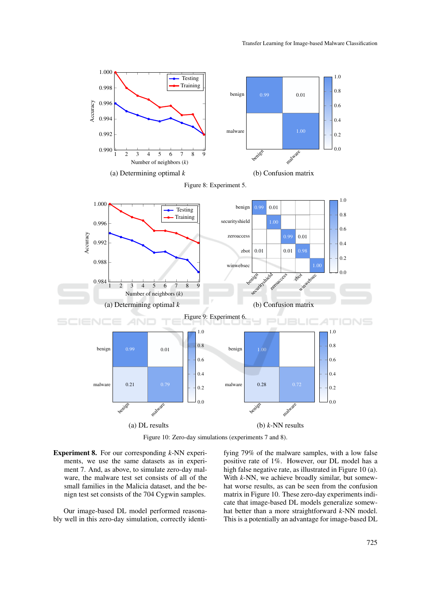

Figure 10: Zero-day simulations (experiments 7 and 8).

Experiment 8. For our corresponding *k*-NN experiments, we use the same datasets as in experiment 7. And, as above, to simulate zero-day malware, the malware test set consists of all of the small families in the Malicia dataset, and the benign test set consists of the 704 Cygwin samples.

Our image-based DL model performed reasonably well in this zero-day simulation, correctly identifying 79% of the malware samples, with a low false positive rate of 1%. However, our DL model has a high false negative rate, as illustrated in Figure 10 (a). With *k*-NN, we achieve broadly similar, but somewhat worse results, as can be seen from the confusion matrix in Figure 10. These zero-day experiments indicate that image-based DL models generalize somewhat better than a more straightforward *k*-NN model. This is a potentially an advantage for image-based DL